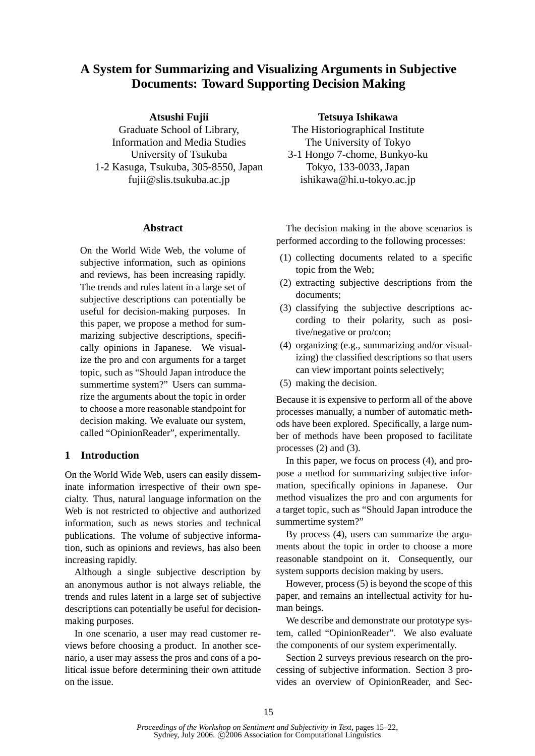# **A System for Summarizing and Visualizing Arguments in Subjective Documents: Toward Supporting Decision Making**

# **Atsushi Fujii**

Graduate School of Library, Information and Media Studies University of Tsukuba 1-2 Kasuga, Tsukuba, 305-8550, Japan fujii@slis.tsukuba.ac.jp

#### **Abstract**

On the World Wide Web, the volume of subjective information, such as opinions and reviews, has been increasing rapidly. The trends and rules latent in a large set of subjective descriptions can potentially be useful for decision-making purposes. In this paper, we propose a method for summarizing subjective descriptions, specifically opinions in Japanese. We visualize the pro and con arguments for a target topic, such as "Should Japan introduce the summertime system?" Users can summarize the arguments about the topic in order to choose a more reasonable standpoint for decision making. We evaluate our system, called "OpinionReader", experimentally.

# **1 Introduction**

On the World Wide Web, users can easily disseminate information irrespective of their own specialty. Thus, natural language information on the Web is not restricted to objective and authorized information, such as news stories and technical publications. The volume of subjective information, such as opinions and reviews, has also been increasing rapidly.

Although a single subjective description by an anonymous author is not always reliable, the trends and rules latent in a large set of subjective descriptions can potentially be useful for decisionmaking purposes.

In one scenario, a user may read customer reviews before choosing a product. In another scenario, a user may assess the pros and cons of a political issue before determining their own attitude on the issue.

**Tetsuya Ishikawa**

The Historiographical Institute The University of Tokyo 3-1 Hongo 7-chome, Bunkyo-ku Tokyo, 133-0033, Japan ishikawa@hi.u-tokyo.ac.jp

The decision making in the above scenarios is performed according to the following processes:

- (1) collecting documents related to a specific topic from the Web;
- (2) extracting subjective descriptions from the documents;
- (3) classifying the subjective descriptions according to their polarity, such as positive/negative or pro/con;
- (4) organizing (e.g., summarizing and/or visualizing) the classified descriptions so that users can view important points selectively;
- (5) making the decision.

Because it is expensive to perform all of the above processes manually, a number of automatic methods have been explored. Specifically, a large number of methods have been proposed to facilitate processes (2) and (3).

In this paper, we focus on process (4), and propose a method for summarizing subjective information, specifically opinions in Japanese. Our method visualizes the pro and con arguments for a target topic, such as "Should Japan introduce the summertime system?"

By process (4), users can summarize the arguments about the topic in order to choose a more reasonable standpoint on it. Consequently, our system supports decision making by users.

However, process (5) is beyond the scope of this paper, and remains an intellectual activity for human beings.

We describe and demonstrate our prototype system, called "OpinionReader". We also evaluate the components of our system experimentally.

Section 2 surveys previous research on the processing of subjective information. Section 3 provides an overview of OpinionReader, and Sec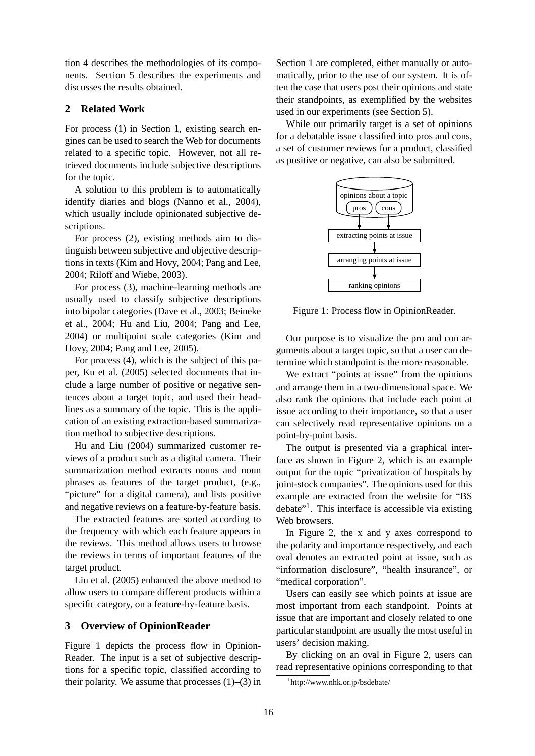tion 4 describes the methodologies of its components. Section 5 describes the experiments and discusses the results obtained.

## **2 Related Work**

For process (1) in Section 1, existing search engines can be used to search the Web for documents related to a specific topic. However, not all retrieved documents include subjective descriptions for the topic.

A solution to this problem is to automatically identify diaries and blogs (Nanno et al., 2004), which usually include opinionated subjective descriptions.

For process (2), existing methods aim to distinguish between subjective and objective descriptions in texts (Kim and Hovy, 2004; Pang and Lee, 2004; Riloff and Wiebe, 2003).

For process (3), machine-learning methods are usually used to classify subjective descriptions into bipolar categories (Dave et al., 2003; Beineke et al., 2004; Hu and Liu, 2004; Pang and Lee, 2004) or multipoint scale categories (Kim and Hovy, 2004; Pang and Lee, 2005).

For process (4), which is the subject of this paper, Ku et al. (2005) selected documents that include a large number of positive or negative sentences about a target topic, and used their headlines as a summary of the topic. This is the application of an existing extraction-based summarization method to subjective descriptions.

Hu and Liu (2004) summarized customer reviews of a product such as a digital camera. Their summarization method extracts nouns and noun phrases as features of the target product, (e.g., "picture" for a digital camera), and lists positive and negative reviews on a feature-by-feature basis.

The extracted features are sorted according to the frequency with which each feature appears in the reviews. This method allows users to browse the reviews in terms of important features of the target product.

Liu et al. (2005) enhanced the above method to allow users to compare different products within a specific category, on a feature-by-feature basis.

### **3 Overview of OpinionReader**

Figure 1 depicts the process flow in Opinion-Reader. The input is a set of subjective descriptions for a specific topic, classified according to their polarity. We assume that processes  $(1)$ – $(3)$  in Section 1 are completed, either manually or automatically, prior to the use of our system. It is often the case that users post their opinions and state their standpoints, as exemplified by the websites used in our experiments (see Section 5).

While our primarily target is a set of opinions for a debatable issue classified into pros and cons, a set of customer reviews for a product, classified as positive or negative, can also be submitted.



Figure 1: Process flow in OpinionReader.

Our purpose is to visualize the pro and con arguments about a target topic, so that a user can determine which standpoint is the more reasonable.

We extract "points at issue" from the opinions and arrange them in a two-dimensional space. We also rank the opinions that include each point at issue according to their importance, so that a user can selectively read representative opinions on a point-by-point basis.

The output is presented via a graphical interface as shown in Figure 2, which is an example output for the topic "privatization of hospitals by joint-stock companies". The opinions used for this example are extracted from the website for "BS debate"<sup>1</sup>. This interface is accessible via existing Web browsers.

In Figure 2, the x and y axes correspond to the polarity and importance respectively, and each oval denotes an extracted point at issue, such as "information disclosure", "health insurance", or "medical corporation".

Users can easily see which points at issue are most important from each standpoint. Points at issue that are important and closely related to one particular standpoint are usually the most useful in users' decision making.

By clicking on an oval in Figure 2, users can read representative opinions corresponding to that

<sup>1</sup> http://www.nhk.or.jp/bsdebate/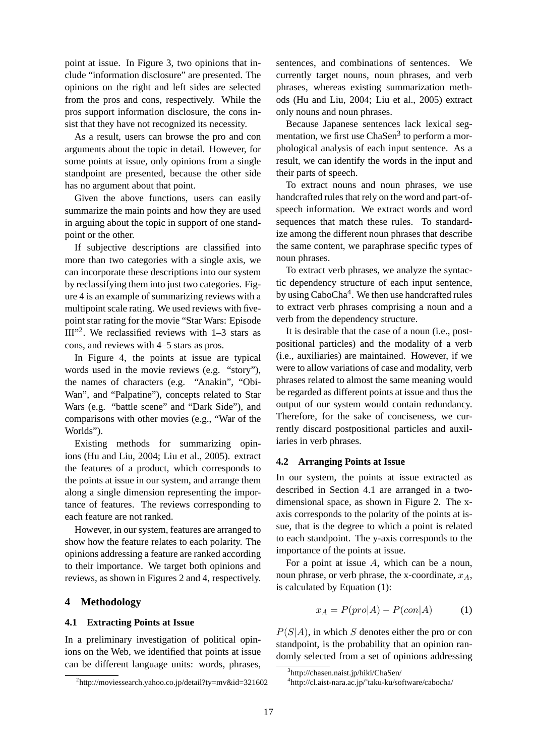point at issue. In Figure 3, two opinions that include "information disclosure" are presented. The opinions on the right and left sides are selected from the pros and cons, respectively. While the pros support information disclosure, the cons insist that they have not recognized its necessity.

As a result, users can browse the pro and con arguments about the topic in detail. However, for some points at issue, only opinions from a single standpoint are presented, because the other side has no argument about that point.

Given the above functions, users can easily summarize the main points and how they are used in arguing about the topic in support of one standpoint or the other.

If subjective descriptions are classified into more than two categories with a single axis, we can incorporate these descriptions into our system by reclassifying them into just two categories. Figure 4 is an example of summarizing reviews with a multipoint scale rating. We used reviews with fivepoint star rating for the movie "Star Wars: Episode  $III''^2$ . We reclassified reviews with  $1-3$  stars as cons, and reviews with 4–5 stars as pros.

In Figure 4, the points at issue are typical words used in the movie reviews (e.g. "story"), the names of characters (e.g. "Anakin", "Obi-Wan", and "Palpatine"), concepts related to Star Wars (e.g. "battle scene" and "Dark Side"), and comparisons with other movies (e.g., "War of the Worlds").

Existing methods for summarizing opinions (Hu and Liu, 2004; Liu et al., 2005). extract the features of a product, which corresponds to the points at issue in our system, and arrange them along a single dimension representing the importance of features. The reviews corresponding to each feature are not ranked.

However, in our system, features are arranged to show how the feature relates to each polarity. The opinions addressing a feature are ranked according to their importance. We target both opinions and reviews, as shown in Figures 2 and 4, respectively.

# **4 Methodology**

### **4.1 Extracting Points at Issue**

In a preliminary investigation of political opinions on the Web, we identified that points at issue can be different language units: words, phrases, sentences, and combinations of sentences. We currently target nouns, noun phrases, and verb phrases, whereas existing summarization methods (Hu and Liu, 2004; Liu et al., 2005) extract only nouns and noun phrases.

Because Japanese sentences lack lexical segmentation, we first use ChaSen<sup>3</sup> to perform a morphological analysis of each input sentence. As a result, we can identify the words in the input and their parts of speech.

To extract nouns and noun phrases, we use handcrafted rules that rely on the word and part-ofspeech information. We extract words and word sequences that match these rules. To standardize among the different noun phrases that describe the same content, we paraphrase specific types of noun phrases.

To extract verb phrases, we analyze the syntactic dependency structure of each input sentence, by using CaboCha<sup>4</sup>. We then use handcrafted rules to extract verb phrases comprising a noun and a verb from the dependency structure.

It is desirable that the case of a noun (i.e., postpositional particles) and the modality of a verb (i.e., auxiliaries) are maintained. However, if we were to allow variations of case and modality, verb phrases related to almost the same meaning would be regarded as different points at issue and thus the output of our system would contain redundancy. Therefore, for the sake of conciseness, we currently discard postpositional particles and auxiliaries in verb phrases.

### **4.2 Arranging Points at Issue**

In our system, the points at issue extracted as described in Section 4.1 are arranged in a twodimensional space, as shown in Figure 2. The xaxis corresponds to the polarity of the points at issue, that is the degree to which a point is related to each standpoint. The y-axis corresponds to the importance of the points at issue.

For a point at issue A, which can be a noun, noun phrase, or verb phrase, the x-coordinate,  $x_A$ , is calculated by Equation (1):

$$
x_A = P(pro|A) - P(con|A)
$$
 (1)

 $P(S|A)$ , in which S denotes either the pro or con standpoint, is the probability that an opinion randomly selected from a set of opinions addressing

<sup>2</sup> http://moviessearch.yahoo.co.jp/detail?ty=mv&id=321602

<sup>3</sup> http://chasen.naist.jp/hiki/ChaSen/

<sup>4</sup> http://cl.aist-nara.ac.jp/˜taku-ku/software/cabocha/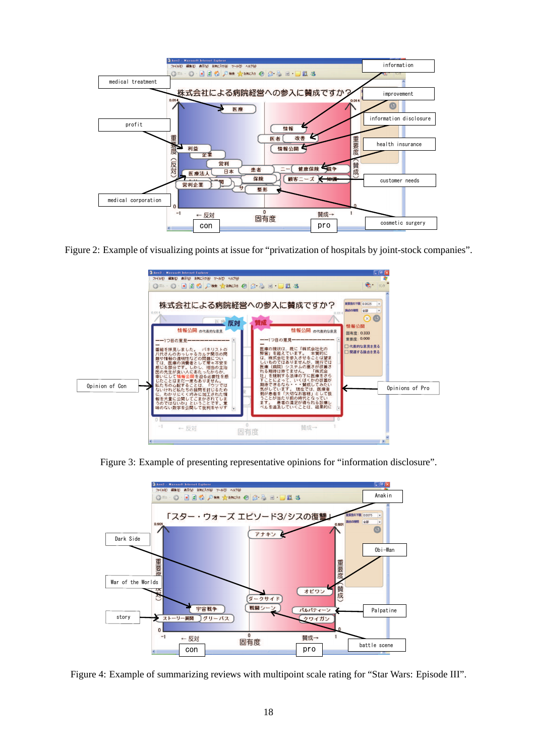

Figure 2: Example of visualizing points at issue for "privatization of hospitals by joint-stock companies".



Figure 3: Example of presenting representative opinions for "information disclosure".



Figure 4: Example of summarizing reviews with multipoint scale rating for "Star Wars: Episode III".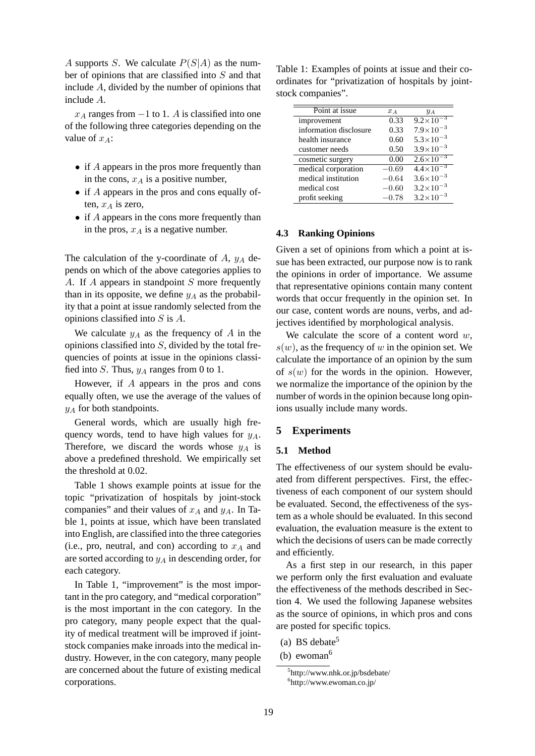A supports S. We calculate  $P(S|A)$  as the number of opinions that are classified into S and that include A, divided by the number of opinions that include A.

 $x_A$  ranges from  $-1$  to 1. A is classified into one of the following three categories depending on the value of  $x_A$ :

- if A appears in the pros more frequently than in the cons,  $x_A$  is a positive number,
- if A appears in the pros and cons equally often,  $x_A$  is zero,
- if A appears in the cons more frequently than in the pros,  $x_A$  is a negative number.

The calculation of the y-coordinate of  $A$ ,  $y_A$  depends on which of the above categories applies to A. If A appears in standpoint S more frequently than in its opposite, we define  $y_A$  as the probability that a point at issue randomly selected from the opinions classified into S is A.

We calculate  $y_A$  as the frequency of A in the opinions classified into  $S$ , divided by the total frequencies of points at issue in the opinions classified into S. Thus,  $y_A$  ranges from 0 to 1.

However, if A appears in the pros and cons equally often, we use the average of the values of  $y_A$  for both standpoints.

General words, which are usually high frequency words, tend to have high values for  $y_A$ . Therefore, we discard the words whose  $y_A$  is above a predefined threshold. We empirically set the threshold at 0.02.

Table 1 shows example points at issue for the topic "privatization of hospitals by joint-stock companies" and their values of  $x_A$  and  $y_A$ . In Table 1, points at issue, which have been translated into English, are classified into the three categories (i.e., pro, neutral, and con) according to  $x_A$  and are sorted according to  $y_A$  in descending order, for each category.

In Table 1, "improvement" is the most important in the pro category, and "medical corporation" is the most important in the con category. In the pro category, many people expect that the quality of medical treatment will be improved if jointstock companies make inroads into the medical industry. However, in the con category, many people are concerned about the future of existing medical corporations.

Table 1: Examples of points at issue and their coordinates for "privatization of hospitals by jointstock companies".

| Point at issue         |         |                      |
|------------------------|---------|----------------------|
|                        | $x_A$   | $y_A$                |
| improvement            | 0.33    | $9.2 \times 10^{-3}$ |
| information disclosure | 0.33    | $7.9\times10^{-3}$   |
| health insurance       | 0.60    | $5.3 \times 10^{-3}$ |
| customer needs         | 0.50    | $3.9 \times 10^{-3}$ |
| cosmetic surgery       | 0.00    | $2.6 \times 10^{-3}$ |
| medical corporation    | $-0.69$ | $4.4 \times 10^{-3}$ |
| medical institution    | $-0.64$ | $3.6 \times 10^{-3}$ |
| medical cost           | $-0.60$ | $3.2 \times 10^{-3}$ |
| profit seeking         | $-0.78$ | $3.2\times10^{-3}$   |

#### **4.3 Ranking Opinions**

Given a set of opinions from which a point at issue has been extracted, our purpose now is to rank the opinions in order of importance. We assume that representative opinions contain many content words that occur frequently in the opinion set. In our case, content words are nouns, verbs, and adjectives identified by morphological analysis.

We calculate the score of a content word  $w$ ,  $s(w)$ , as the frequency of w in the opinion set. We calculate the importance of an opinion by the sum of  $s(w)$  for the words in the opinion. However, we normalize the importance of the opinion by the number of words in the opinion because long opinions usually include many words.

# **5 Experiments**

#### **5.1 Method**

The effectiveness of our system should be evaluated from different perspectives. First, the effectiveness of each component of our system should be evaluated. Second, the effectiveness of the system as a whole should be evaluated. In this second evaluation, the evaluation measure is the extent to which the decisions of users can be made correctly and efficiently.

As a first step in our research, in this paper we perform only the first evaluation and evaluate the effectiveness of the methods described in Section 4. We used the following Japanese websites as the source of opinions, in which pros and cons are posted for specific topics.

<sup>(</sup>a) BS debate<sup>5</sup>

<sup>(</sup>b) ewoman<sup>6</sup>

<sup>5</sup> http://www.nhk.or.jp/bsdebate/ 6 http://www.ewoman.co.jp/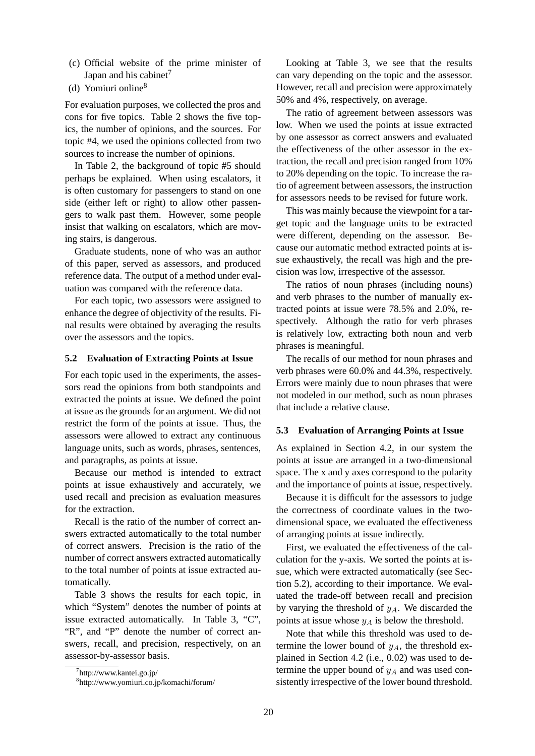- (c) Official website of the prime minister of Japan and his cabinet<sup>7</sup>
- (d) Yomiuri online<sup>8</sup>

For evaluation purposes, we collected the pros and cons for five topics. Table 2 shows the five topics, the number of opinions, and the sources. For topic #4, we used the opinions collected from two sources to increase the number of opinions.

In Table 2, the background of topic #5 should perhaps be explained. When using escalators, it is often customary for passengers to stand on one side (either left or right) to allow other passengers to walk past them. However, some people insist that walking on escalators, which are moving stairs, is dangerous.

Graduate students, none of who was an author of this paper, served as assessors, and produced reference data. The output of a method under evaluation was compared with the reference data.

For each topic, two assessors were assigned to enhance the degree of objectivity of the results. Final results were obtained by averaging the results over the assessors and the topics.

#### **5.2 Evaluation of Extracting Points at Issue**

For each topic used in the experiments, the assessors read the opinions from both standpoints and extracted the points at issue. We defined the point at issue as the grounds for an argument. We did not restrict the form of the points at issue. Thus, the assessors were allowed to extract any continuous language units, such as words, phrases, sentences, and paragraphs, as points at issue.

Because our method is intended to extract points at issue exhaustively and accurately, we used recall and precision as evaluation measures for the extraction.

Recall is the ratio of the number of correct answers extracted automatically to the total number of correct answers. Precision is the ratio of the number of correct answers extracted automatically to the total number of points at issue extracted automatically.

Table 3 shows the results for each topic, in which "System" denotes the number of points at issue extracted automatically. In Table 3, "C", "R", and "P" denote the number of correct answers, recall, and precision, respectively, on an assessor-by-assessor basis.

Looking at Table 3, we see that the results can vary depending on the topic and the assessor. However, recall and precision were approximately 50% and 4%, respectively, on average.

The ratio of agreement between assessors was low. When we used the points at issue extracted by one assessor as correct answers and evaluated the effectiveness of the other assessor in the extraction, the recall and precision ranged from 10% to 20% depending on the topic. To increase the ratio of agreement between assessors, the instruction for assessors needs to be revised for future work.

This was mainly because the viewpoint for a target topic and the language units to be extracted were different, depending on the assessor. Because our automatic method extracted points at issue exhaustively, the recall was high and the precision was low, irrespective of the assessor.

The ratios of noun phrases (including nouns) and verb phrases to the number of manually extracted points at issue were 78.5% and 2.0%, respectively. Although the ratio for verb phrases is relatively low, extracting both noun and verb phrases is meaningful.

The recalls of our method for noun phrases and verb phrases were 60.0% and 44.3%, respectively. Errors were mainly due to noun phrases that were not modeled in our method, such as noun phrases that include a relative clause.

#### **5.3 Evaluation of Arranging Points at Issue**

As explained in Section 4.2, in our system the points at issue are arranged in a two-dimensional space. The x and y axes correspond to the polarity and the importance of points at issue, respectively.

Because it is difficult for the assessors to judge the correctness of coordinate values in the twodimensional space, we evaluated the effectiveness of arranging points at issue indirectly.

First, we evaluated the effectiveness of the calculation for the y-axis. We sorted the points at issue, which were extracted automatically (see Section 5.2), according to their importance. We evaluated the trade-off between recall and precision by varying the threshold of  $y_A$ . We discarded the points at issue whose  $y_A$  is below the threshold.

Note that while this threshold was used to determine the lower bound of  $y_A$ , the threshold explained in Section 4.2 (i.e., 0.02) was used to determine the upper bound of  $y_A$  and was used consistently irrespective of the lower bound threshold.

<sup>7</sup> http://www.kantei.go.jp/

<sup>8</sup> http://www.yomiuri.co.jp/komachi/forum/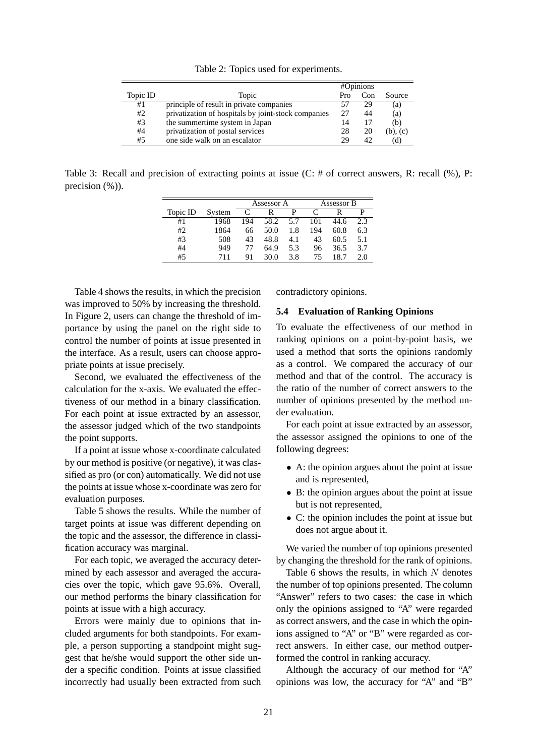Table 2: Topics used for experiments.

|          |                                                     | #Opinions |     |               |
|----------|-----------------------------------------------------|-----------|-----|---------------|
| Topic ID | Topic                                               | Pro       | Con | Source        |
| #1       | principle of result in private companies            |           | 29  | (a)           |
| #2       | privatization of hospitals by joint-stock companies | 27        | 44  | (a)           |
| #3       | the summertime system in Japan                      | 14        |     | (b)           |
| #4       | privatization of postal services                    | 28        | 20  | $(b)$ , $(c)$ |
| #5       | one side walk on an escalator                       | 29        | 42  | (d)           |

Table 3: Recall and precision of extracting points at issue (C: # of correct answers, R: recall (%), P: precision  $(\%)$ ).

|          |        | Assessor A |      | Assessor B |     |      |     |
|----------|--------|------------|------|------------|-----|------|-----|
| Topic ID | System | C          |      | р          |     |      | p   |
| #1       | 1968   | 194        | 58.2 | 5.7        | 101 | 44.6 | 2.3 |
| #2       | 1864   | 66         | 50.0 | 1.8        | 194 | 60.8 | 6.3 |
| #3       | 508    | 43         | 48.8 | 4.1        | 43  | 60.5 | 5.1 |
| #4       | 949    | 77         | 64.9 | 5.3        | 96  | 36.5 | 3.7 |
| #5       | 711    | 91         | 30.0 | 3.8        | 75  | 18.7 | 2.0 |

Table 4 shows the results, in which the precision was improved to 50% by increasing the threshold. In Figure 2, users can change the threshold of importance by using the panel on the right side to control the number of points at issue presented in the interface. As a result, users can choose appropriate points at issue precisely.

Second, we evaluated the effectiveness of the calculation for the x-axis. We evaluated the effectiveness of our method in a binary classification. For each point at issue extracted by an assessor, the assessor judged which of the two standpoints the point supports.

If a point at issue whose x-coordinate calculated by our method is positive (or negative), it was classified as pro (or con) automatically. We did not use the points at issue whose x-coordinate was zero for evaluation purposes.

Table 5 shows the results. While the number of target points at issue was different depending on the topic and the assessor, the difference in classification accuracy was marginal.

For each topic, we averaged the accuracy determined by each assessor and averaged the accuracies over the topic, which gave 95.6%. Overall, our method performs the binary classification for points at issue with a high accuracy.

Errors were mainly due to opinions that included arguments for both standpoints. For example, a person supporting a standpoint might suggest that he/she would support the other side under a specific condition. Points at issue classified incorrectly had usually been extracted from such contradictory opinions.

#### **5.4 Evaluation of Ranking Opinions**

To evaluate the effectiveness of our method in ranking opinions on a point-by-point basis, we used a method that sorts the opinions randomly as a control. We compared the accuracy of our method and that of the control. The accuracy is the ratio of the number of correct answers to the number of opinions presented by the method under evaluation.

For each point at issue extracted by an assessor, the assessor assigned the opinions to one of the following degrees:

- A: the opinion argues about the point at issue and is represented,
- B: the opinion argues about the point at issue but is not represented,
- C: the opinion includes the point at issue but does not argue about it.

We varied the number of top opinions presented by changing the threshold for the rank of opinions.

Table 6 shows the results, in which  $N$  denotes the number of top opinions presented. The column "Answer" refers to two cases: the case in which only the opinions assigned to "A" were regarded as correct answers, and the case in which the opinions assigned to "A" or "B" were regarded as correct answers. In either case, our method outperformed the control in ranking accuracy.

Although the accuracy of our method for "A" opinions was low, the accuracy for "A" and "B"